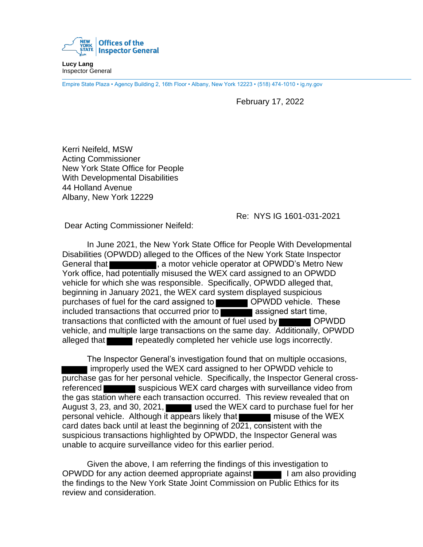

**Lucy Lang** Inspector General

Empire State Plaza • Agency Building 2, 16th Floor • Albany, New York 12223 • (518) 474-1010 • ig.ny.gov

February 17, 2022

Kerri Neifeld, MSW Acting Commissioner New York State Office for People With Developmental Disabilities 44 Holland Avenue Albany, New York 12229

Re: NYS IG 1601-031-2021

Dear Acting Commissioner Neifeld:

In June 2021, the New York State Office for People With Developmental Disabilities (OPWDD) alleged to the Offices of the New York State Inspector General that **the contract of the motor vehicle operator at OPWDD's Metro New** York office, had potentially misused the WEX card assigned to an OPWDD vehicle for which she was responsible. Specifically, OPWDD alleged that, beginning in January 2021, the WEX card system displayed suspicious purchases of fuel for the card assigned to **OPWDD** vehicle. These included transactions that occurred prior to  $\blacksquare$  assigned start time, transactions that conflicted with the amount of fuel used by **COPWDD** vehicle, and multiple large transactions on the same day. Additionally, OPWDD alleged that repeatedly completed her vehicle use logs incorrectly.

The Inspector General's investigation found that on multiple occasions, improperly used the WEX card assigned to her OPWDD vehicle to purchase gas for her personal vehicle. Specifically, the Inspector General crossreferenced suspicious WEX card charges with surveillance video from the gas station where each transaction occurred. This review revealed that on August 3, 23, and 30, 2021, used the WEX card to purchase fuel for her personal vehicle. Although it appears likely that misuse of the WEX card dates back until at least the beginning of  $20\overline{21}$ , consistent with the suspicious transactions highlighted by OPWDD, the Inspector General was unable to acquire surveillance video for this earlier period.

Given the above, I am referring the findings of this investigation to OPWDD for any action deemed appropriate against I am also providing the findings to the New York State Joint Commission on Public Ethics for its review and consideration.